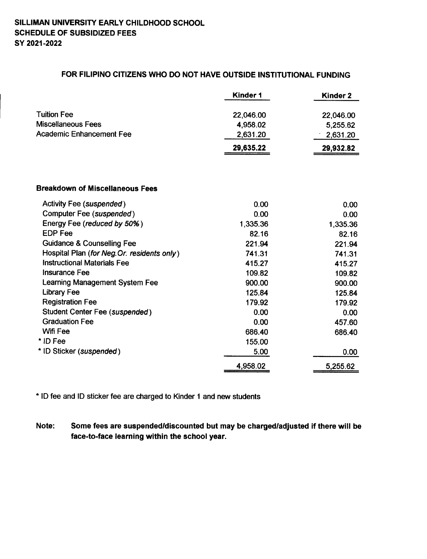## FOR FILIPINO CITIZENS WHO DO NOT HAVE OUTSIDE INSTITUTIONAL FUNDING

|                                             | Kinder 1  | Kinder <sub>2</sub> |
|---------------------------------------------|-----------|---------------------|
| <b>Tuition Fee</b>                          | 22,046.00 | 22,046.00           |
| <b>Miscellaneous Fees</b>                   | 4,958.02  | 5,255.62            |
| <b>Academic Enhancement Fee</b>             | 2,631.20  | 2,631.20            |
|                                             | 29,635.22 | 29,932.82           |
| <b>Breakdown of Miscellaneous Fees</b>      |           |                     |
| <b>Activity Fee (suspended)</b>             | 0.00      | 0.00                |
| Computer Fee (suspended)                    | 0.00      | 0.00                |
| Energy Fee (reduced by 50%)                 | 1,335.36  | 1,335.36            |
| <b>EDP Fee</b>                              | 82.16     | 82.16               |
| <b>Guidance &amp; Counselling Fee</b>       | 221.94    | 221.94              |
| Hospital Plan (for Neg. Or. residents only) | 741.31    | 741.31              |
| <b>Instructional Materials Fee</b>          | 415.27    | 415.27              |
| Insurance Fee                               | 109.82    | 109.82              |
| Learning Management System Fee              | 900.00    | 900.00              |
| <b>Library Fee</b>                          | 125.84    | 125.84              |
| <b>Registration Fee</b>                     | 179.92    | 179.92              |
| Student Center Fee (suspended)              | 0.00      | 0.00                |
| <b>Graduation Fee</b>                       | 0.00      | 457.60              |
| Wifi Fee                                    | 686.40    | 686.40              |
| * ID Fee                                    | 155.00    |                     |
| * ID Sticker (suspended)                    | 5.00      | 0.00                |
|                                             | 4,958.02  | 5,255.62            |

\* ID fee and ID sticker fee are charged to Kinder 1 and new students

Note: Some fees are suspended/discounted but may be charged/adjusted if there will be face-to-face learning within the school year.